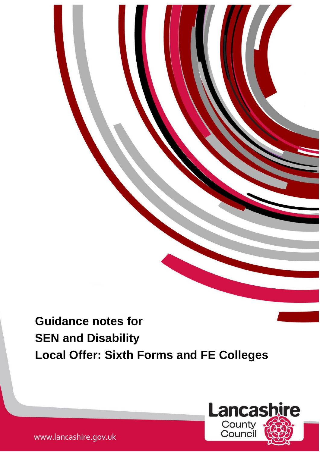# **Guidance notes for SEN and Disability Local Offer: Sixth Forms and FE Colleges**

1



www.lancashire.gov.uk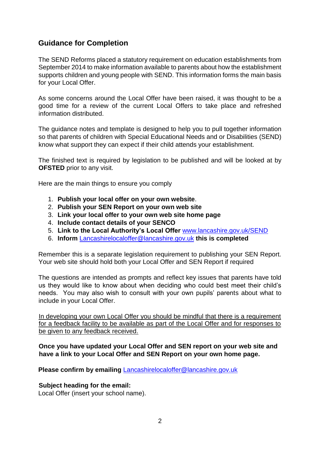# **Guidance for Completion**

The SEND Reforms placed a statutory requirement on education establishments from September 2014 to make information available to parents about how the establishment supports children and young people with SEND. This information forms the main basis for your Local Offer.

As some concerns around the Local Offer have been raised, it was thought to be a good time for a review of the current Local Offers to take place and refreshed information distributed.

The guidance notes and template is designed to help you to pull together information so that parents of children with Special Educational Needs and or Disabilities (SEND) know what support they can expect if their child attends your establishment.

The finished text is required by legislation to be published and will be looked at by **OFSTED** prior to any visit.

Here are the main things to ensure you comply

- 1. **Publish your local offer on your own website**.
- 2. **Publish your SEN Report on your own web site**
- 3. **Link your local offer to your own web site home page**
- 4. **Include contact details of your SENCO**
- 5. **Link to the Local Authority's Local Offer** [www.lancashire.gov.uk/SEND](http://www.lancashire.gov.uk/SEND)
- 6. **Inform** Lancashirelocaloffer@lancashire.gov.uk **this is completed**

Remember this is a separate legislation requirement to publishing your SEN Report. Your web site should hold both your Local Offer and SEN Report if required

The questions are intended as prompts and reflect key issues that parents have told us they would like to know about when deciding who could best meet their child's needs. You may also wish to consult with your own pupils' parents about what to include in your Local Offer.

In developing your own Local Offer you should be mindful that there is a requirement for a feedback facility to be available as part of the Local Offer and for responses to be given to any feedback received.

**Once you have updated your Local Offer and SEN report on your web site and have a link to your Local Offer and SEN Report on your own home page.** 

**Please confirm by emailing** Lancashirelocaloffer@lancashire.gov.uk

## **Subject heading for the email:**

Local Offer (insert your school name).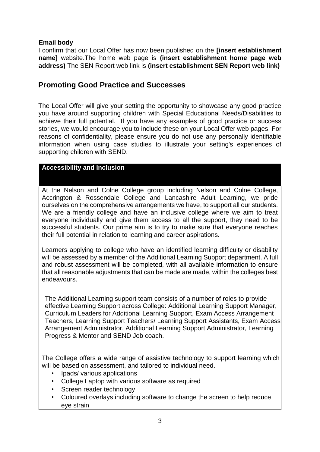# **Email body**

I confirm that our Local Offer has now been published on the **[insert establishment name]** website.The home web page is **(insert establishment home page web address)** The SEN Report web link is **(insert establishment SEN Report web link)** 

# **Promoting Good Practice and Successes**

The Local Offer will give your setting the opportunity to showcase any good practice you have around supporting children with Special Educational Needs/Disabilities to achieve their full potential. If you have any examples of good practice or success stories, we would encourage you to include these on your Local Offer web pages. For reasons of confidentiality, please ensure you do not use any personally identifiable information when using case studies to illustrate your setting's experiences of supporting children with SEND.

# **Accessibility and Inclusion**

At the Nelson and Colne College group including Nelson and Colne College, Accrington & Rossendale College and Lancashire Adult Learning, we pride ourselves on the comprehensive arrangements we have, to support all our students. We are a friendly college and have an inclusive college where we aim to treat everyone individually and give them access to all the support, they need to be successful students. Our prime aim is to try to make sure that everyone reaches their full potential in relation to learning and career aspirations.

Learners applying to college who have an identified learning difficulty or disability will be assessed by a member of the Additional Learning Support department. A full and robust assessment will be completed, with all available information to ensure that all reasonable adjustments that can be made are made, within the colleges best endeavours.

The Additional Learning support team consists of a number of roles to provide effective Learning Support across College: Additional Learning Support Manager, Curriculum Leaders for Additional Learning Support, Exam Access Arrangement Teachers, Learning Support Teachers/ Learning Support Assistants, Exam Access Arrangement Administrator, Additional Learning Support Administrator, Learning Progress & Mentor and SEND Job coach.

The College offers a wide range of assistive technology to support learning which will be based on assessment, and tailored to individual need.

- Ipads/ various applications
- College Laptop with various software as required
- Screen reader technology
- Coloured overlays including software to change the screen to help reduce eye strain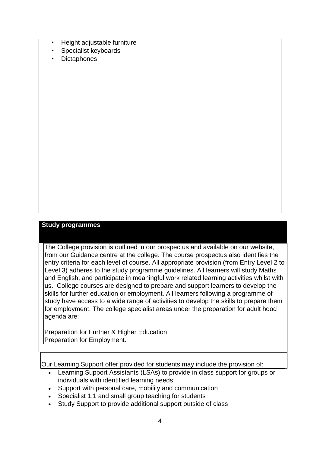- Height adjustable furniture
- Specialist keyboards
- **Dictaphones**

## **Study programmes**

The College provision is outlined in our prospectus and available on our website, from our Guidance centre at the college. The course prospectus also identifies the entry criteria for each level of course. All appropriate provision (from Entry Level 2 to Level 3) adheres to the study programme guidelines. All learners will study Maths and English, and participate in meaningful work related learning activities whilst with us. College courses are designed to prepare and support learners to develop the skills for further education or employment. All learners following a programme of study have access to a wide range of activities to develop the skills to prepare them for employment. The college specialist areas under the preparation for adult hood agenda are:

Preparation for Further & Higher Education Preparation for Employment.

Our Learning Support offer provided for students may include the provision of:

- Learning Support Assistants (LSAs) to provide in class support for groups or individuals with identified learning needs
- Support with personal care, mobility and communication
- Specialist 1:1 and small group teaching for students
- Study Support to provide additional support outside of class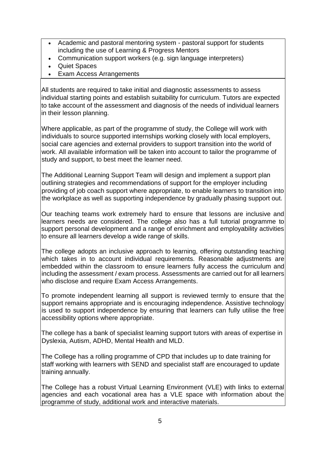- Academic and pastoral mentoring system pastoral support for students including the use of Learning & Progress Mentors
- Communication support workers (e.g. sign language interpreters)
- Quiet Spaces
- Exam Access Arrangements

All students are required to take initial and diagnostic assessments to assess individual starting points and establish suitability for curriculum. Tutors are expected to take account of the assessment and diagnosis of the needs of individual learners in their lesson planning.

Where applicable, as part of the programme of study, the College will work with individuals to source supported internships working closely with local employers, social care agencies and external providers to support transition into the world of work. All available information will be taken into account to tailor the programme of study and support, to best meet the learner need.

The Additional Learning Support Team will design and implement a support plan outlining strategies and recommendations of support for the employer including providing of job coach support where appropriate, to enable learners to transition into the workplace as well as supporting independence by gradually phasing support out.

Our teaching teams work extremely hard to ensure that lessons are inclusive and learners needs are considered. The college also has a full tutorial programme to support personal development and a range of enrichment and employability activities to ensure all learners develop a wide range of skills.

The college adopts an inclusive approach to learning, offering outstanding teaching which takes in to account individual requirements. Reasonable adjustments are embedded within the classroom to ensure learners fully access the curriculum and including the assessment / exam process. Assessments are carried out for all learners who disclose and require Exam Access Arrangements.

To promote independent learning all support is reviewed termly to ensure that the support remains appropriate and is encouraging independence. Assistive technology is used to support independence by ensuring that learners can fully utilise the free accessibility options where appropriate.

The college has a bank of specialist learning support tutors with areas of expertise in Dyslexia, Autism, ADHD, Mental Health and MLD.

The College has a rolling programme of CPD that includes up to date training for staff working with learners with SEND and specialist staff are encouraged to update training annually.

The College has a robust Virtual Learning Environment (VLE) with links to external agencies and each vocational area has a VLE space with information about the programme of study, additional work and interactive materials.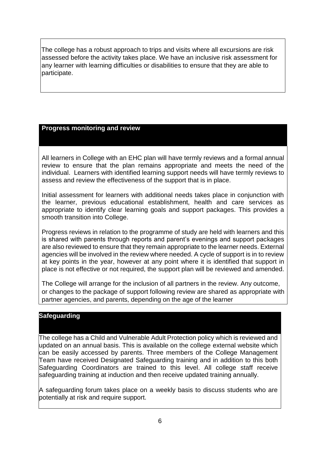The college has a robust approach to trips and visits where all excursions are risk assessed before the activity takes place. We have an inclusive risk assessment for any learner with learning difficulties or disabilities to ensure that they are able to participate.

# **Progress monitoring and review**

All learners in College with an EHC plan will have termly reviews and a formal annual review to ensure that the plan remains appropriate and meets the need of the individual. Learners with identified learning support needs will have termly reviews to assess and review the effectiveness of the support that is in place.

Initial assessment for learners with additional needs takes place in conjunction with the learner, previous educational establishment, health and care services as appropriate to identify clear learning goals and support packages. This provides a smooth transition into College.

Progress reviews in relation to the programme of study are held with learners and this is shared with parents through reports and parent's evenings and support packages are also reviewed to ensure that they remain appropriate to the learner needs. External agencies will be involved in the review where needed. A cycle of support is in to review at key points in the year, however at any point where it is identified that support in place is not effective or not required, the support plan will be reviewed and amended.

The College will arrange for the inclusion of all partners in the review. Any outcome, or changes to the package of support following review are shared as appropriate with partner agencies, and parents, depending on the age of the learner

## **Safeguarding**

The college has a Child and Vulnerable Adult Protection policy which is reviewed and updated on an annual basis. This is available on the college external website which can be easily accessed by parents. Three members of the College Management Team have received Designated Safeguarding training and in addition to this both Safeguarding Coordinators are trained to this level. All college staff receive safeguarding training at induction and then receive updated training annually.

A safeguarding forum takes place on a weekly basis to discuss students who are potentially at risk and require support.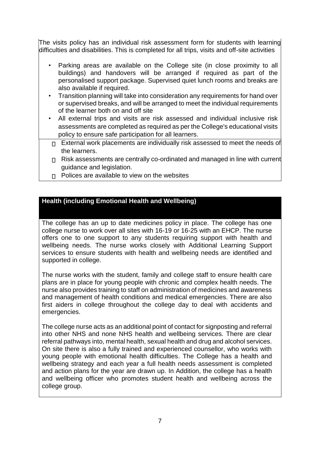The visits policy has an individual risk assessment form for students with learning difficulties and disabilities. This is completed for all trips, visits and off-site activities

- Parking areas are available on the College site (in close proximity to all buildings) and handovers will be arranged if required as part of the personalised support package. Supervised quiet lunch rooms and breaks are also available if required.
- Transition planning will take into consideration any requirements for hand over or supervised breaks, and will be arranged to meet the individual requirements of the learner both on and off site
- All external trips and visits are risk assessed and individual inclusive risk assessments are completed as required as per the College's educational visits policy to ensure safe participation for all learners.
- □ External work placements are individually risk assessed to meet the needs of the learners.
- $\Box$  Risk assessments are centrally co-ordinated and managed in line with current guidance and legislation.
- $\Box$  Polices are available to view on the websites

# **Health (including Emotional Health and Wellbeing)**

The college has an up to date medicines policy in place. The college has one college nurse to work over all sites with 16-19 or 16-25 with an EHCP. The nurse offers one to one support to any students requiring support with health and wellbeing needs. The nurse works closely with Additional Learning Support services to ensure students with health and wellbeing needs are identified and supported in college.

The nurse works with the student, family and college staff to ensure health care plans are in place for young people with chronic and complex health needs. The nurse also provides training to staff on administration of medicines and awareness and management of health conditions and medical emergencies. There are also first aiders in college throughout the college day to deal with accidents and emergencies.

The college nurse acts as an additional point of contact for signposting and referral into other NHS and none NHS health and wellbeing services. There are clear referral pathways into, mental health, sexual health and drug and alcohol services. On site there is also a fully trained and experienced counsellor, who works with young people with emotional health difficulties. The College has a health and wellbeing strategy and each year a full health needs assessment is completed and action plans for the year are drawn up. In Addition, the college has a health and wellbeing officer who promotes student health and wellbeing across the college group.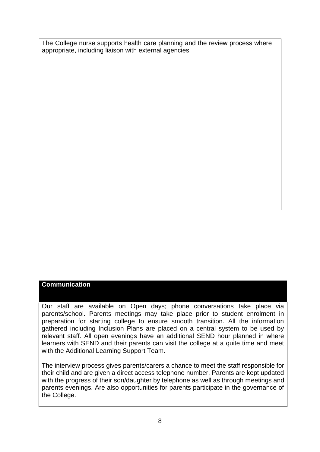The College nurse supports health care planning and the review process where appropriate, including liaison with external agencies.

## **Communication**

Our staff are available on Open days; phone conversations take place via parents/school. Parents meetings may take place prior to student enrolment in preparation for starting college to ensure smooth transition. All the information gathered including Inclusion Plans are placed on a central system to be used by relevant staff. All open evenings have an additional SEND hour planned in where learners with SEND and their parents can visit the college at a quite time and meet with the Additional Learning Support Team.

The interview process gives parents/carers a chance to meet the staff responsible for their child and are given a direct access telephone number. Parents are kept updated with the progress of their son/daughter by telephone as well as through meetings and parents evenings. Are also opportunities for parents participate in the governance of the College.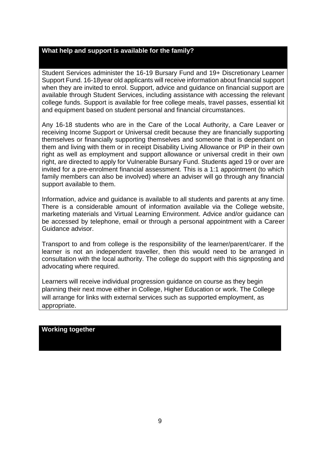## **What help and support is available for the family?**

Student Services administer the 16-19 Bursary Fund and 19+ Discretionary Learner Support Fund. 16-18year old applicants will receive information about financial support when they are invited to enrol. Support, advice and guidance on financial support are available through Student Services, including assistance with accessing the relevant college funds. Support is available for free college meals, travel passes, essential kit and equipment based on student personal and financial circumstances.

Any 16-18 students who are in the Care of the Local Authority, a Care Leaver or receiving Income Support or Universal credit because they are financially supporting themselves or financially supporting themselves and someone that is dependant on them and living with them or in receipt Disability Living Allowance or PIP in their own right as well as employment and support allowance or universal credit in their own right, are directed to apply for Vulnerable Bursary Fund. Students aged 19 or over are invited for a pre-enrolment financial assessment. This is a 1:1 appointment (to which family members can also be involved) where an adviser will go through any financial support available to them.

Information, advice and guidance is available to all students and parents at any time. There is a considerable amount of information available via the College website, marketing materials and Virtual Learning Environment. Advice and/or guidance can be accessed by telephone, email or through a personal appointment with a Career Guidance advisor.

Transport to and from college is the responsibility of the learner/parent/carer. If the learner is not an independent traveller, then this would need to be arranged in consultation with the local authority. The college do support with this signposting and advocating where required.

Learners will receive individual progression guidance on course as they begin planning their next move either in College, Higher Education or work. The College will arrange for links with external services such as supported employment, as appropriate.

#### **Working together**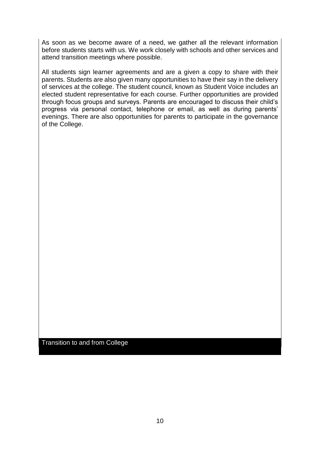As soon as we become aware of a need, we gather all the relevant information before students starts with us. We work closely with schools and other services and attend transition meetings where possible.

All students sign learner agreements and are a given a copy to share with their parents. Students are also given many opportunities to have their say in the delivery of services at the college. The student council, known as Student Voice includes an elected student representative for each course. Further opportunities are provided through focus groups and surveys. Parents are encouraged to discuss their child's progress via personal contact, telephone or email, as well as during parents' evenings. There are also opportunities for parents to participate in the governance of the College.

Transition to and from College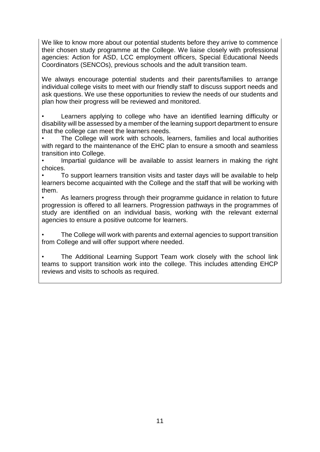We like to know more about our potential students before they arrive to commence their chosen study programme at the College. We liaise closely with professional agencies: Action for ASD, LCC employment officers, Special Educational Needs Coordinators (SENCOs), previous schools and the adult transition team.

We always encourage potential students and their parents/families to arrange individual college visits to meet with our friendly staff to discuss support needs and ask questions. We use these opportunities to review the needs of our students and plan how their progress will be reviewed and monitored.

• Learners applying to college who have an identified learning difficulty or disability will be assessed by a member of the learning support department to ensure that the college can meet the learners needs.

• The College will work with schools, learners, families and local authorities with regard to the maintenance of the EHC plan to ensure a smooth and seamless transition into College.

Impartial guidance will be available to assist learners in making the right choices.

• To support learners transition visits and taster days will be available to help learners become acquainted with the College and the staff that will be working with them.

• As learners progress through their programme guidance in relation to future progression is offered to all learners. Progression pathways in the programmes of study are identified on an individual basis, working with the relevant external agencies to ensure a positive outcome for learners.

• The College will work with parents and external agencies to support transition from College and will offer support where needed.

• The Additional Learning Support Team work closely with the school link teams to support transition work into the college. This includes attending EHCP reviews and visits to schools as required.